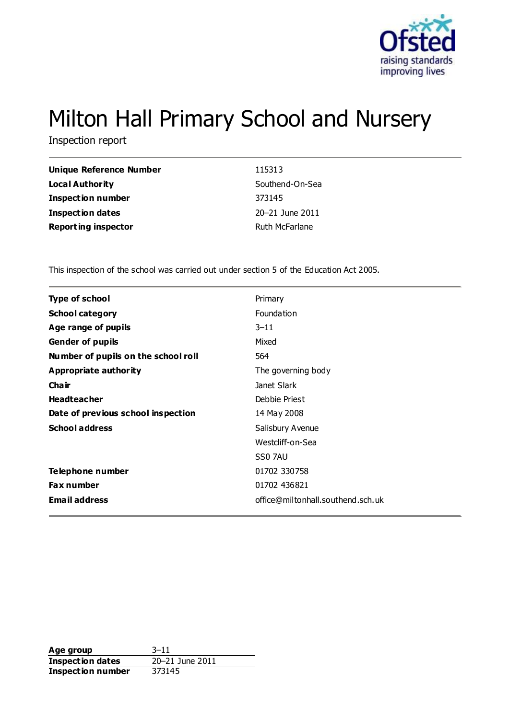

# Milton Hall Primary School and Nursery

Inspection report

| Unique Reference Number    | 115313          |
|----------------------------|-----------------|
| <b>Local Authority</b>     | Southend-On-Sea |
| <b>Inspection number</b>   | 373145          |
| <b>Inspection dates</b>    | 20-21 June 2011 |
| <b>Reporting inspector</b> | Ruth McFarlane  |

This inspection of the school was carried out under section 5 of the Education Act 2005.

| <b>Type of school</b>               | Primary                           |
|-------------------------------------|-----------------------------------|
| <b>School category</b>              | Foundation                        |
| Age range of pupils                 | $3 - 11$                          |
| <b>Gender of pupils</b>             | Mixed                             |
| Number of pupils on the school roll | 564                               |
| Appropriate authority               | The governing body                |
| Cha ir                              | Janet Slark                       |
| <b>Headteacher</b>                  | Debbie Priest                     |
| Date of previous school inspection  | 14 May 2008                       |
| <b>School address</b>               | Salisbury Avenue                  |
|                                     | Westcliff-on-Sea                  |
|                                     | SS0 7AU                           |
| Telephone number                    | 01702 330758                      |
| <b>Fax number</b>                   | 01702 436821                      |
| <b>Email address</b>                | office@miltonhall.southend.sch.uk |
|                                     |                                   |

**Age group** 3-11<br> **Inspection dates** 20-21 June 2011 **Inspection dates Inspection number** 373145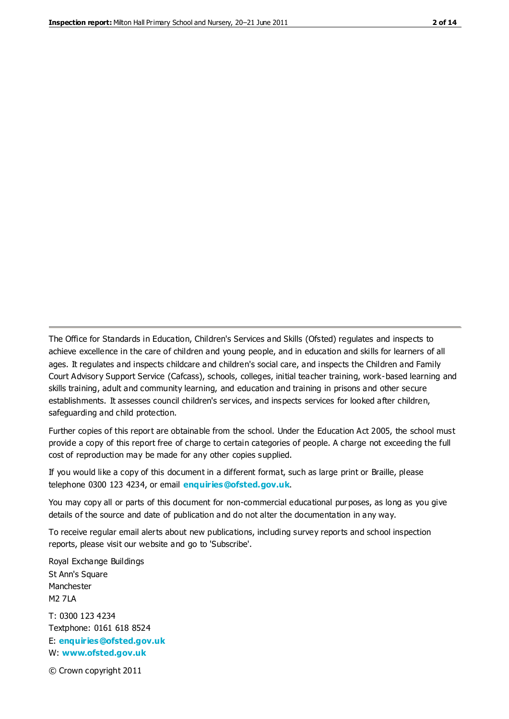The Office for Standards in Education, Children's Services and Skills (Ofsted) regulates and inspects to achieve excellence in the care of children and young people, and in education and skills for learners of all ages. It regulates and inspects childcare and children's social care, and inspects the Children and Family Court Advisory Support Service (Cafcass), schools, colleges, initial teacher training, work-based learning and skills training, adult and community learning, and education and training in prisons and other secure establishments. It assesses council children's services, and inspects services for looked after children, safeguarding and child protection.

Further copies of this report are obtainable from the school. Under the Education Act 2005, the school must provide a copy of this report free of charge to certain categories of people. A charge not exceeding the full cost of reproduction may be made for any other copies supplied.

If you would like a copy of this document in a different format, such as large print or Braille, please telephone 0300 123 4234, or email **[enquiries@ofsted.gov.uk](mailto:enquiries@ofsted.gov.uk)**.

You may copy all or parts of this document for non-commercial educational purposes, as long as you give details of the source and date of publication and do not alter the documentation in any way.

To receive regular email alerts about new publications, including survey reports and school inspection reports, please visit our website and go to 'Subscribe'.

Royal Exchange Buildings St Ann's Square Manchester M2 7LA T: 0300 123 4234 Textphone: 0161 618 8524 E: **[enquiries@ofsted.gov.uk](mailto:enquiries@ofsted.gov.uk)**

W: **[www.ofsted.gov.uk](http://www.ofsted.gov.uk/)**

© Crown copyright 2011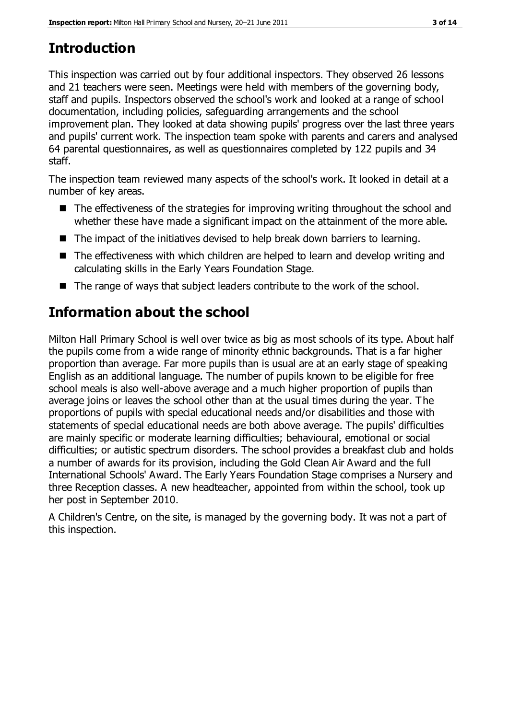# **Introduction**

This inspection was carried out by four additional inspectors. They observed 26 lessons and 21 teachers were seen. Meetings were held with members of the governing body, staff and pupils. Inspectors observed the school's work and looked at a range of school documentation, including policies, safeguarding arrangements and the school improvement plan. They looked at data showing pupils' progress over the last three years and pupils' current work. The inspection team spoke with parents and carers and analysed 64 parental questionnaires, as well as questionnaires completed by 122 pupils and 34 staff.

The inspection team reviewed many aspects of the school's work. It looked in detail at a number of key areas.

- The effectiveness of the strategies for improving writing throughout the school and whether these have made a significant impact on the attainment of the more able.
- The impact of the initiatives devised to help break down barriers to learning.
- The effectiveness with which children are helped to learn and develop writing and calculating skills in the Early Years Foundation Stage.
- The range of ways that subject leaders contribute to the work of the school.

# **Information about the school**

Milton Hall Primary School is well over twice as big as most schools of its type. About half the pupils come from a wide range of minority ethnic backgrounds. That is a far higher proportion than average. Far more pupils than is usual are at an early stage of speaking English as an additional language. The number of pupils known to be eligible for free school meals is also well-above average and a much higher proportion of pupils than average joins or leaves the school other than at the usual times during the year. The proportions of pupils with special educational needs and/or disabilities and those with statements of special educational needs are both above average. The pupils' difficulties are mainly specific or moderate learning difficulties; behavioural, emotional or social difficulties; or autistic spectrum disorders. The school provides a breakfast club and holds a number of awards for its provision, including the Gold Clean Air Award and the full International Schools' Award. The Early Years Foundation Stage comprises a Nursery and three Reception classes. A new headteacher, appointed from within the school, took up her post in September 2010.

A Children's Centre, on the site, is managed by the governing body. It was not a part of this inspection.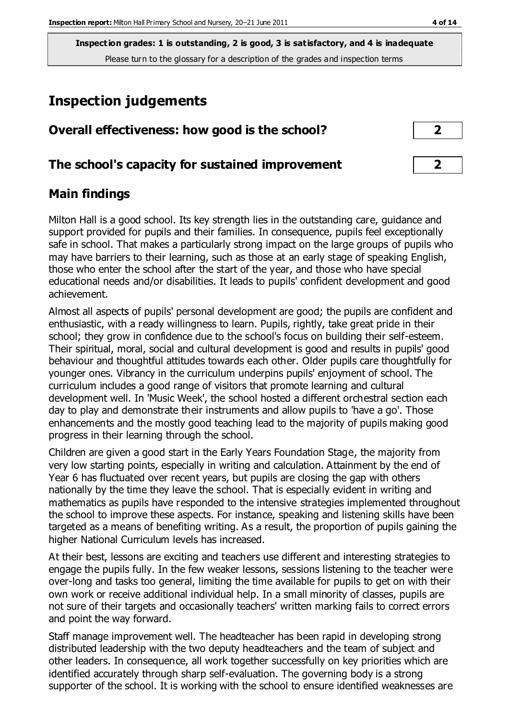**Inspection grades: 1 is outstanding, 2 is good, 3 is satisfactory, and 4 is inadequate** Please turn to the glossary for a description of the grades and inspection terms

## **Inspection judgements**

| Overall effectiveness: how good is the school? |  |
|------------------------------------------------|--|
|                                                |  |

#### **The school's capacity for sustained improvement 2**

## **Main findings**

Milton Hall is a good school. Its key strength lies in the outstanding care, guidance and support provided for pupils and their families. In consequence, pupils feel exceptionally safe in school. That makes a particularly strong impact on the large groups of pupils who may have barriers to their learning, such as those at an early stage of speaking English, those who enter the school after the start of the year, and those who have special educational needs and/or disabilities. It leads to pupils' confident development and good achievement.

Almost all aspects of pupils' personal development are good; the pupils are confident and enthusiastic, with a ready willingness to learn. Pupils, rightly, take great pride in their school; they grow in confidence due to the school's focus on building their self-esteem. Their spiritual, moral, social and cultural development is good and results in pupils' good behaviour and thoughtful attitudes towards each other. Older pupils care thoughtfully for younger ones. Vibrancy in the curriculum underpins pupils' enjoyment of school. The curriculum includes a good range of visitors that promote learning and cultural development well. In 'Music Week', the school hosted a different orchestral section each day to play and demonstrate their instruments and allow pupils to 'have a go'. Those enhancements and the mostly good teaching lead to the majority of pupils making good progress in their learning through the school.

Children are given a good start in the Early Years Foundation Stage, the majority from very low starting points, especially in writing and calculation. Attainment by the end of Year 6 has fluctuated over recent years, but pupils are closing the gap with others nationally by the time they leave the school. That is especially evident in writing and mathematics as pupils have responded to the intensive strategies implemented throughout the school to improve these aspects. For instance, speaking and listening skills have been targeted as a means of benefiting writing. As a result, the proportion of pupils gaining the higher National Curriculum levels has increased.

At their best, lessons are exciting and teachers use different and interesting strategies to engage the pupils fully. In the few weaker lessons, sessions listening to the teacher were over-long and tasks too general, limiting the time available for pupils to get on with their own work or receive additional individual help. In a small minority of classes, pupils are not sure of their targets and occasionally teachers' written marking fails to correct errors and point the way forward.

Staff manage improvement well. The headteacher has been rapid in developing strong distributed leadership with the two deputy headteachers and the team of subject and other leaders. In consequence, all work together successfully on key priorities which are identified accurately through sharp self-evaluation. The governing body is a strong supporter of the school. It is working with the school to ensure identified weaknesses are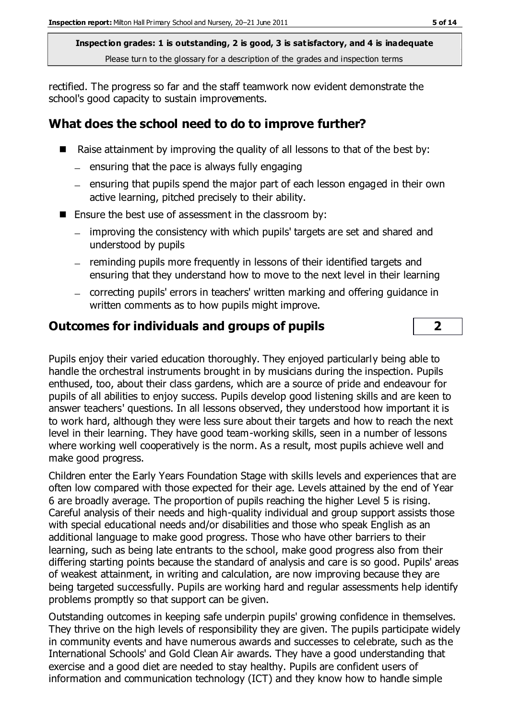**Inspection grades: 1 is outstanding, 2 is good, 3 is satisfactory, and 4 is inadequate** Please turn to the glossary for a description of the grades and inspection terms

rectified. The progress so far and the staff teamwork now evident demonstrate the school's good capacity to sustain improvements.

## **What does the school need to do to improve further?**

- Raise attainment by improving the quality of all lessons to that of the best by:
	- $=$  ensuring that the pace is always fully engaging
	- $-$  ensuring that pupils spend the major part of each lesson engaged in their own active learning, pitched precisely to their ability.
- Ensure the best use of assessment in the classroom by:
	- improving the consistency with which pupils' targets are set and shared and understood by pupils
	- reminding pupils more frequently in lessons of their identified targets and ensuring that they understand how to move to the next level in their learning
	- correcting pupils' errors in teachers' written marking and offering guidance in written comments as to how pupils might improve.

#### **Outcomes for individuals and groups of pupils 2**

Pupils enjoy their varied education thoroughly. They enjoyed particularly being able to handle the orchestral instruments brought in by musicians during the inspection. Pupils enthused, too, about their class gardens, which are a source of pride and endeavour for pupils of all abilities to enjoy success. Pupils develop good listening skills and are keen to answer teachers' questions. In all lessons observed, they understood how important it is to work hard, although they were less sure about their targets and how to reach the next level in their learning. They have good team-working skills, seen in a number of lessons where working well cooperatively is the norm. As a result, most pupils achieve well and make good progress.

Children enter the Early Years Foundation Stage with skills levels and experiences that are often low compared with those expected for their age. Levels attained by the end of Year 6 are broadly average. The proportion of pupils reaching the higher Level 5 is rising. Careful analysis of their needs and high-quality individual and group support assists those with special educational needs and/or disabilities and those who speak English as an additional language to make good progress. Those who have other barriers to their learning, such as being late entrants to the school, make good progress also from their differing starting points because the standard of analysis and care is so good. Pupils' areas of weakest attainment, in writing and calculation, are now improving because they are being targeted successfully. Pupils are working hard and regular assessments help identify problems promptly so that support can be given.

Outstanding outcomes in keeping safe underpin pupils' growing confidence in themselves. They thrive on the high levels of responsibility they are given. The pupils participate widely in community events and have numerous awards and successes to celebrate, such as the International Schools' and Gold Clean Air awards. They have a good understanding that exercise and a good diet are needed to stay healthy. Pupils are confident users of information and communication technology (ICT) and they know how to handle simple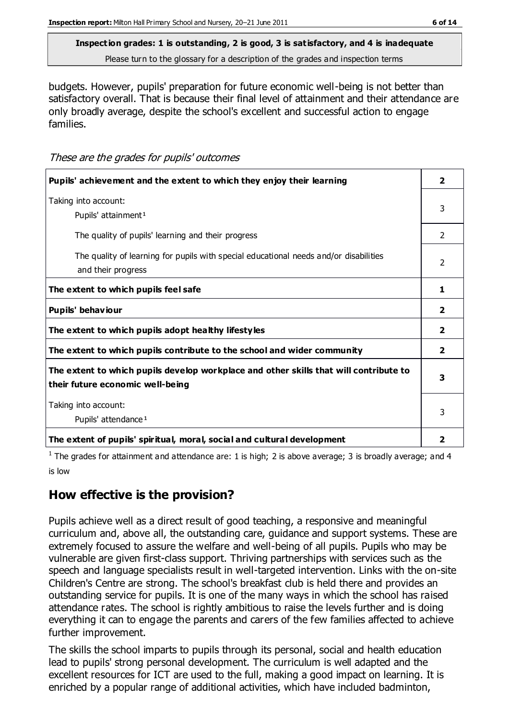# **Inspection grades: 1 is outstanding, 2 is good, 3 is satisfactory, and 4 is inadequate**

Please turn to the glossary for a description of the grades and inspection terms

budgets. However, pupils' preparation for future economic well-being is not better than satisfactory overall. That is because their final level of attainment and their attendance are only broadly average, despite the school's excellent and successful action to engage families.

These are the grades for pupils' outcomes

| Pupils' achievement and the extent to which they enjoy their learning                                                     | $\overline{\mathbf{2}}$ |
|---------------------------------------------------------------------------------------------------------------------------|-------------------------|
| Taking into account:<br>Pupils' attainment <sup>1</sup>                                                                   | 3                       |
| The quality of pupils' learning and their progress                                                                        | 2                       |
| The quality of learning for pupils with special educational needs and/or disabilities<br>and their progress               | $\mathcal{P}$           |
| The extent to which pupils feel safe                                                                                      | 1                       |
| Pupils' behaviour                                                                                                         | 2                       |
| The extent to which pupils adopt healthy lifestyles                                                                       | $\overline{2}$          |
| The extent to which pupils contribute to the school and wider community                                                   | 2                       |
| The extent to which pupils develop workplace and other skills that will contribute to<br>their future economic well-being | 3                       |
| Taking into account:<br>Pupils' attendance <sup>1</sup>                                                                   |                         |
| The extent of pupils' spiritual, moral, social and cultural development                                                   | $\mathbf{2}$            |

<sup>1</sup> The grades for attainment and attendance are: 1 is high; 2 is above average; 3 is broadly average; and 4 is low

## **How effective is the provision?**

Pupils achieve well as a direct result of good teaching, a responsive and meaningful curriculum and, above all, the outstanding care, guidance and support systems. These are extremely focused to assure the welfare and well-being of all pupils. Pupils who may be vulnerable are given first-class support. Thriving partnerships with services such as the speech and language specialists result in well-targeted intervention. Links with the on-site Children's Centre are strong. The school's breakfast club is held there and provides an outstanding service for pupils. It is one of the many ways in which the school has raised attendance rates. The school is rightly ambitious to raise the levels further and is doing everything it can to engage the parents and carers of the few families affected to achieve further improvement.

The skills the school imparts to pupils through its personal, social and health education lead to pupils' strong personal development. The curriculum is well adapted and the excellent resources for ICT are used to the full, making a good impact on learning. It is enriched by a popular range of additional activities, which have included badminton,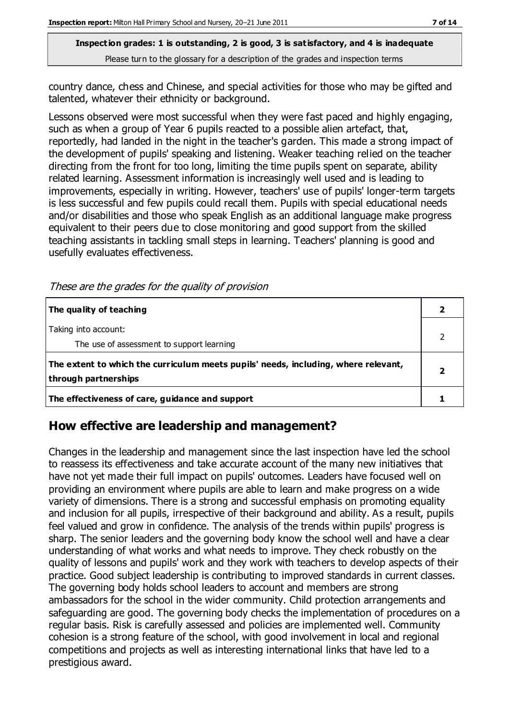#### **Inspection grades: 1 is outstanding, 2 is good, 3 is satisfactory, and 4 is inadequate** Please turn to the glossary for a description of the grades and inspection terms

country dance, chess and Chinese, and special activities for those who may be gifted and talented, whatever their ethnicity or background.

Lessons observed were most successful when they were fast paced and highly engaging, such as when a group of Year 6 pupils reacted to a possible alien artefact, that, reportedly, had landed in the night in the teacher's garden. This made a strong impact of the development of pupils' speaking and listening. Weaker teaching relied on the teacher directing from the front for too long, limiting the time pupils spent on separate, ability related learning. Assessment information is increasingly well used and is leading to improvements, especially in writing. However, teachers' use of pupils' longer-term targets is less successful and few pupils could recall them. Pupils with special educational needs and/or disabilities and those who speak English as an additional language make progress equivalent to their peers due to close monitoring and good support from the skilled teaching assistants in tackling small steps in learning. Teachers' planning is good and usefully evaluates effectiveness.

These are the grades for the quality of provision

| The quality of teaching                                                                                    |  |
|------------------------------------------------------------------------------------------------------------|--|
| Taking into account:<br>The use of assessment to support learning                                          |  |
| The extent to which the curriculum meets pupils' needs, including, where relevant,<br>through partnerships |  |
| The effectiveness of care, guidance and support                                                            |  |

#### **How effective are leadership and management?**

Changes in the leadership and management since the last inspection have led the school to reassess its effectiveness and take accurate account of the many new initiatives that have not yet made their full impact on pupils' outcomes. Leaders have focused well on providing an environment where pupils are able to learn and make progress on a wide variety of dimensions. There is a strong and successful emphasis on promoting equality and inclusion for all pupils, irrespective of their background and ability. As a result, pupils feel valued and grow in confidence. The analysis of the trends within pupils' progress is sharp. The senior leaders and the governing body know the school well and have a clear understanding of what works and what needs to improve. They check robustly on the quality of lessons and pupils' work and they work with teachers to develop aspects of their practice. Good subject leadership is contributing to improved standards in current classes. The governing body holds school leaders to account and members are strong ambassadors for the school in the wider community. Child protection arrangements and safeguarding are good. The governing body checks the implementation of procedures on a regular basis. Risk is carefully assessed and policies are implemented well. Community cohesion is a strong feature of the school, with good involvement in local and regional competitions and projects as well as interesting international links that have led to a prestigious award.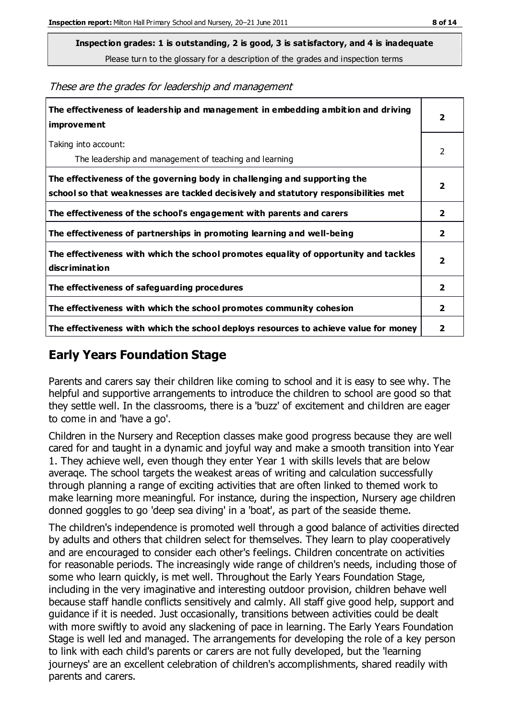**Inspection grades: 1 is outstanding, 2 is good, 3 is satisfactory, and 4 is inadequate**

Please turn to the glossary for a description of the grades and inspection terms

| The effectiveness of leadership and management in embedding ambition and driving<br><i>improvement</i>                                                           |                         |
|------------------------------------------------------------------------------------------------------------------------------------------------------------------|-------------------------|
| Taking into account:<br>The leadership and management of teaching and learning                                                                                   | $\overline{2}$          |
| The effectiveness of the governing body in challenging and supporting the<br>school so that weaknesses are tackled decisively and statutory responsibilities met | $\overline{2}$          |
| The effectiveness of the school's engagement with parents and carers                                                                                             | $\overline{2}$          |
| The effectiveness of partnerships in promoting learning and well-being                                                                                           | $\overline{2}$          |
| The effectiveness with which the school promotes equality of opportunity and tackles<br>discrimination                                                           | $\overline{\mathbf{2}}$ |
| The effectiveness of safeguarding procedures                                                                                                                     | $\overline{2}$          |
| The effectiveness with which the school promotes community cohesion                                                                                              | $\overline{2}$          |
| The effectiveness with which the school deploys resources to achieve value for money                                                                             | $\mathbf{2}$            |

These are the grades for leadership and management

## **Early Years Foundation Stage**

Parents and carers say their children like coming to school and it is easy to see why. The helpful and supportive arrangements to introduce the children to school are good so that they settle well. In the classrooms, there is a 'buzz' of excitement and children are eager to come in and 'have a go'.

Children in the Nursery and Reception classes make good progress because they are well cared for and taught in a dynamic and joyful way and make a smooth transition into Year 1. They achieve well, even though they enter Year 1 with skills levels that are below averaqe. The school targets the weakest areas of writing and calculation successfully through planning a range of exciting activities that are often linked to themed work to make learning more meaningful. For instance, during the inspection, Nursery age children donned goggles to go 'deep sea diving' in a 'boat', as part of the seaside theme.

The children's independence is promoted well through a good balance of activities directed by adults and others that children select for themselves. They learn to play cooperatively and are encouraged to consider each other's feelings. Children concentrate on activities for reasonable periods. The increasingly wide range of children's needs, including those of some who learn quickly, is met well. Throughout the Early Years Foundation Stage, including in the very imaginative and interesting outdoor provision, children behave well because staff handle conflicts sensitively and calmly. All staff give good help, support and guidance if it is needed. Just occasionally, transitions between activities could be dealt with more swiftly to avoid any slackening of pace in learning. The Early Years Foundation Stage is well led and managed. The arrangements for developing the role of a key person to link with each child's parents or carers are not fully developed, but the 'learning journeys' are an excellent celebration of children's accomplishments, shared readily with parents and carers.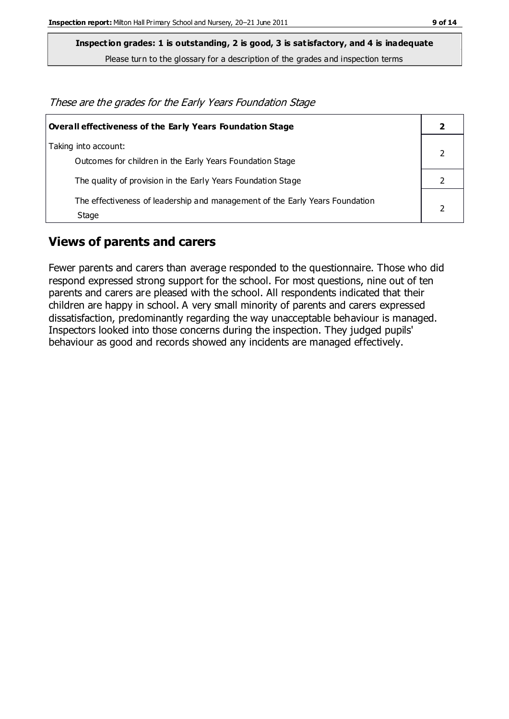**Inspection grades: 1 is outstanding, 2 is good, 3 is satisfactory, and 4 is inadequate**

Please turn to the glossary for a description of the grades and inspection terms

These are the grades for the Early Years Foundation Stage

| <b>Overall effectiveness of the Early Years Foundation Stage</b>                      |  |
|---------------------------------------------------------------------------------------|--|
| Taking into account:<br>Outcomes for children in the Early Years Foundation Stage     |  |
| The quality of provision in the Early Years Foundation Stage                          |  |
| The effectiveness of leadership and management of the Early Years Foundation<br>Stage |  |

#### **Views of parents and carers**

Fewer parents and carers than average responded to the questionnaire. Those who did respond expressed strong support for the school. For most questions, nine out of ten parents and carers are pleased with the school. All respondents indicated that their children are happy in school. A very small minority of parents and carers expressed dissatisfaction, predominantly regarding the way unacceptable behaviour is managed. Inspectors looked into those concerns during the inspection. They judged pupils' behaviour as good and records showed any incidents are managed effectively.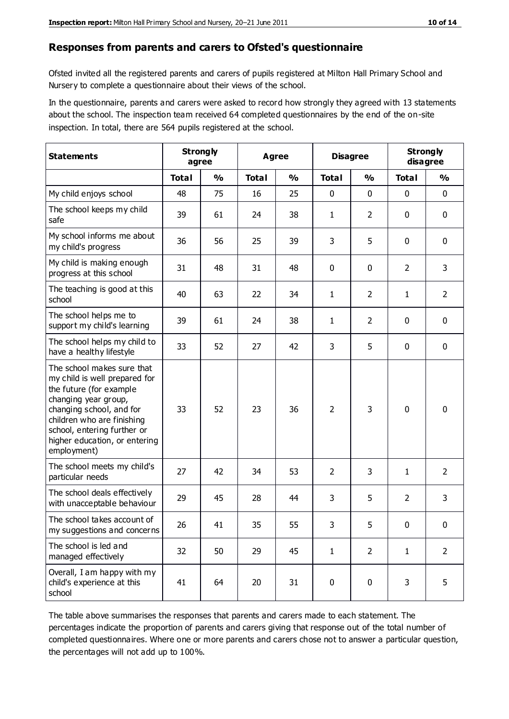#### **Responses from parents and carers to Ofsted's questionnaire**

Ofsted invited all the registered parents and carers of pupils registered at Milton Hall Primary School and Nursery to complete a questionnaire about their views of the school.

In the questionnaire, parents and carers were asked to record how strongly they agreed with 13 statements about the school. The inspection team received 64 completed questionnaires by the end of the on-site inspection. In total, there are 564 pupils registered at the school.

| <b>Statements</b>                                                                                                                                                                                                                                       | <b>Strongly</b><br>Agree<br>agree |               |              | <b>Disagree</b> |                | <b>Strongly</b><br>disagree |                |                |
|---------------------------------------------------------------------------------------------------------------------------------------------------------------------------------------------------------------------------------------------------------|-----------------------------------|---------------|--------------|-----------------|----------------|-----------------------------|----------------|----------------|
|                                                                                                                                                                                                                                                         | <b>Total</b>                      | $\frac{0}{0}$ | <b>Total</b> | $\frac{0}{0}$   | <b>Total</b>   | $\frac{0}{0}$               | <b>Total</b>   | $\frac{0}{0}$  |
| My child enjoys school                                                                                                                                                                                                                                  | 48                                | 75            | 16           | 25              | 0              | 0                           | $\mathbf 0$    | $\mathbf 0$    |
| The school keeps my child<br>safe                                                                                                                                                                                                                       | 39                                | 61            | 24           | 38              | 1              | $\overline{2}$              | $\mathbf 0$    | $\mathbf 0$    |
| My school informs me about<br>my child's progress                                                                                                                                                                                                       | 36                                | 56            | 25           | 39              | 3              | 5                           | $\mathbf 0$    | $\mathbf 0$    |
| My child is making enough<br>progress at this school                                                                                                                                                                                                    | 31                                | 48            | 31           | 48              | 0              | 0                           | 2              | 3              |
| The teaching is good at this<br>school                                                                                                                                                                                                                  | 40                                | 63            | 22           | 34              | 1              | $\overline{2}$              | 1              | $\overline{2}$ |
| The school helps me to<br>support my child's learning                                                                                                                                                                                                   | 39                                | 61            | 24           | 38              | 1              | $\overline{2}$              | $\mathbf 0$    | $\mathbf 0$    |
| The school helps my child to<br>have a healthy lifestyle                                                                                                                                                                                                | 33                                | 52            | 27           | 42              | 3              | 5                           | $\mathbf 0$    | $\mathbf 0$    |
| The school makes sure that<br>my child is well prepared for<br>the future (for example<br>changing year group,<br>changing school, and for<br>children who are finishing<br>school, entering further or<br>higher education, or entering<br>employment) | 33                                | 52            | 23           | 36              | $\overline{2}$ | 3                           | $\mathbf 0$    | $\mathbf 0$    |
| The school meets my child's<br>particular needs                                                                                                                                                                                                         | 27                                | 42            | 34           | 53              | $\overline{2}$ | 3                           | $\mathbf{1}$   | $\overline{2}$ |
| The school deals effectively<br>with unacceptable behaviour                                                                                                                                                                                             | 29                                | 45            | 28           | 44              | 3              | 5                           | $\overline{2}$ | 3              |
| The school takes account of<br>my suggestions and concerns                                                                                                                                                                                              | 26                                | 41            | 35           | 55              | 3              | 5                           | 0              | 0              |
| The school is led and<br>managed effectively                                                                                                                                                                                                            | 32                                | 50            | 29           | 45              | $\mathbf{1}$   | $\overline{2}$              | $\mathbf{1}$   | $\overline{2}$ |
| Overall, I am happy with my<br>child's experience at this<br>school                                                                                                                                                                                     | 41                                | 64            | 20           | 31              | $\pmb{0}$      | $\pmb{0}$                   | 3              | 5              |

The table above summarises the responses that parents and carers made to each statement. The percentages indicate the proportion of parents and carers giving that response out of the total number of completed questionnaires. Where one or more parents and carers chose not to answer a particular question, the percentages will not add up to 100%.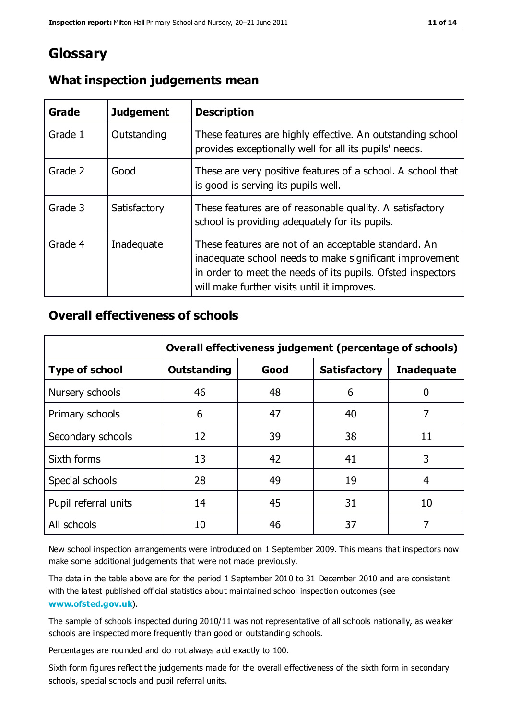## **Glossary**

| Grade   | <b>Judgement</b> | <b>Description</b>                                                                                                                                                                                                            |
|---------|------------------|-------------------------------------------------------------------------------------------------------------------------------------------------------------------------------------------------------------------------------|
| Grade 1 | Outstanding      | These features are highly effective. An outstanding school<br>provides exceptionally well for all its pupils' needs.                                                                                                          |
| Grade 2 | Good             | These are very positive features of a school. A school that<br>is good is serving its pupils well.                                                                                                                            |
| Grade 3 | Satisfactory     | These features are of reasonable quality. A satisfactory<br>school is providing adequately for its pupils.                                                                                                                    |
| Grade 4 | Inadequate       | These features are not of an acceptable standard. An<br>inadequate school needs to make significant improvement<br>in order to meet the needs of its pupils. Ofsted inspectors<br>will make further visits until it improves. |

#### **What inspection judgements mean**

## **Overall effectiveness of schools**

|                       | Overall effectiveness judgement (percentage of schools) |      |                     |                   |
|-----------------------|---------------------------------------------------------|------|---------------------|-------------------|
| <b>Type of school</b> | <b>Outstanding</b>                                      | Good | <b>Satisfactory</b> | <b>Inadequate</b> |
| Nursery schools       | 46                                                      | 48   | 6                   |                   |
| Primary schools       | 6                                                       | 47   | 40                  | 7                 |
| Secondary schools     | 12                                                      | 39   | 38                  | 11                |
| Sixth forms           | 13                                                      | 42   | 41                  | 3                 |
| Special schools       | 28                                                      | 49   | 19                  | 4                 |
| Pupil referral units  | 14                                                      | 45   | 31                  | 10                |
| All schools           | 10                                                      | 46   | 37                  |                   |

New school inspection arrangements were introduced on 1 September 2009. This means that inspectors now make some additional judgements that were not made previously.

The data in the table above are for the period 1 September 2010 to 31 December 2010 and are consistent with the latest published official statistics about maintained school inspection outcomes (see **[www.ofsted.gov.uk](http://www.ofsted.gov.uk/)**).

The sample of schools inspected during 2010/11 was not representative of all schools nationally, as weaker schools are inspected more frequently than good or outstanding schools.

Percentages are rounded and do not always add exactly to 100.

Sixth form figures reflect the judgements made for the overall effectiveness of the sixth form in secondary schools, special schools and pupil referral units.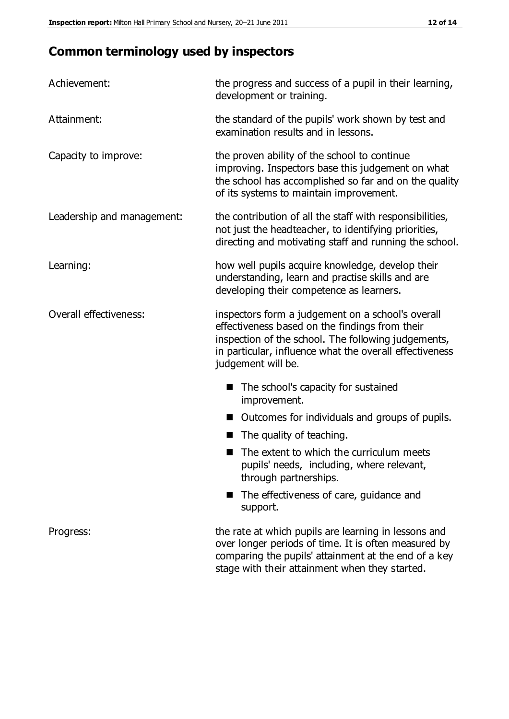# **Common terminology used by inspectors**

| Achievement:               | the progress and success of a pupil in their learning,<br>development or training.                                                                                                                                                          |
|----------------------------|---------------------------------------------------------------------------------------------------------------------------------------------------------------------------------------------------------------------------------------------|
| Attainment:                | the standard of the pupils' work shown by test and<br>examination results and in lessons.                                                                                                                                                   |
| Capacity to improve:       | the proven ability of the school to continue<br>improving. Inspectors base this judgement on what<br>the school has accomplished so far and on the quality<br>of its systems to maintain improvement.                                       |
| Leadership and management: | the contribution of all the staff with responsibilities,<br>not just the headteacher, to identifying priorities,<br>directing and motivating staff and running the school.                                                                  |
| Learning:                  | how well pupils acquire knowledge, develop their<br>understanding, learn and practise skills and are<br>developing their competence as learners.                                                                                            |
| Overall effectiveness:     | inspectors form a judgement on a school's overall<br>effectiveness based on the findings from their<br>inspection of the school. The following judgements,<br>in particular, influence what the overall effectiveness<br>judgement will be. |
|                            | The school's capacity for sustained<br>improvement.                                                                                                                                                                                         |
|                            | Outcomes for individuals and groups of pupils.                                                                                                                                                                                              |
|                            | The quality of teaching.                                                                                                                                                                                                                    |
|                            | The extent to which the curriculum meets<br>pupils' needs, including, where relevant,<br>through partnerships.                                                                                                                              |
|                            | The effectiveness of care, guidance and<br>support.                                                                                                                                                                                         |
| Progress:                  | the rate at which pupils are learning in lessons and<br>over longer periods of time. It is often measured by<br>comparing the pupils' attainment at the end of a key                                                                        |

stage with their attainment when they started.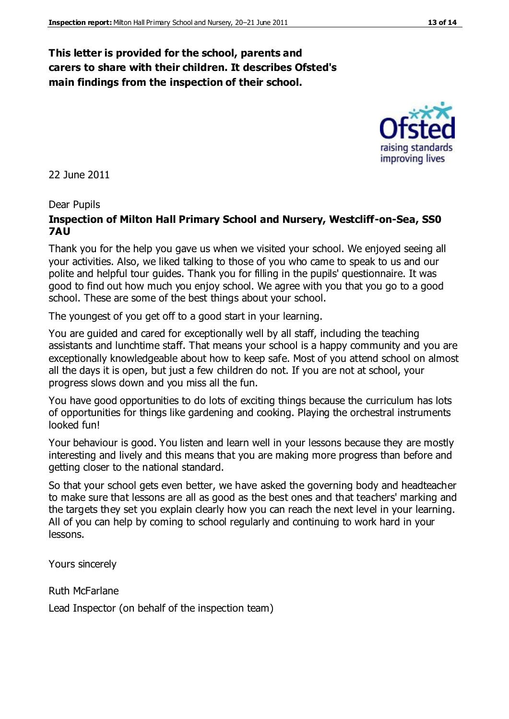#### **This letter is provided for the school, parents and carers to share with their children. It describes Ofsted's main findings from the inspection of their school.**

22 June 2011

#### Dear Pupils

#### **Inspection of Milton Hall Primary School and Nursery, Westcliff-on-Sea, SS0 7AU**

Thank you for the help you gave us when we visited your school. We enjoyed seeing all your activities. Also, we liked talking to those of you who came to speak to us and our polite and helpful tour guides. Thank you for filling in the pupils' questionnaire. It was good to find out how much you enjoy school. We agree with you that you go to a good school. These are some of the best things about your school.

The youngest of you get off to a good start in your learning.

You are guided and cared for exceptionally well by all staff, including the teaching assistants and lunchtime staff. That means your school is a happy community and you are exceptionally knowledgeable about how to keep safe. Most of you attend school on almost all the days it is open, but just a few children do not. If you are not at school, your progress slows down and you miss all the fun.

You have good opportunities to do lots of exciting things because the curriculum has lots of opportunities for things like gardening and cooking. Playing the orchestral instruments looked fun!

Your behaviour is good. You listen and learn well in your lessons because they are mostly interesting and lively and this means that you are making more progress than before and getting closer to the national standard.

So that your school gets even better, we have asked the governing body and headteacher to make sure that lessons are all as good as the best ones and that teachers' marking and the targets they set you explain clearly how you can reach the next level in your learning. All of you can help by coming to school regularly and continuing to work hard in your lessons.

Yours sincerely

Ruth McFarlane

Lead Inspector (on behalf of the inspection team)